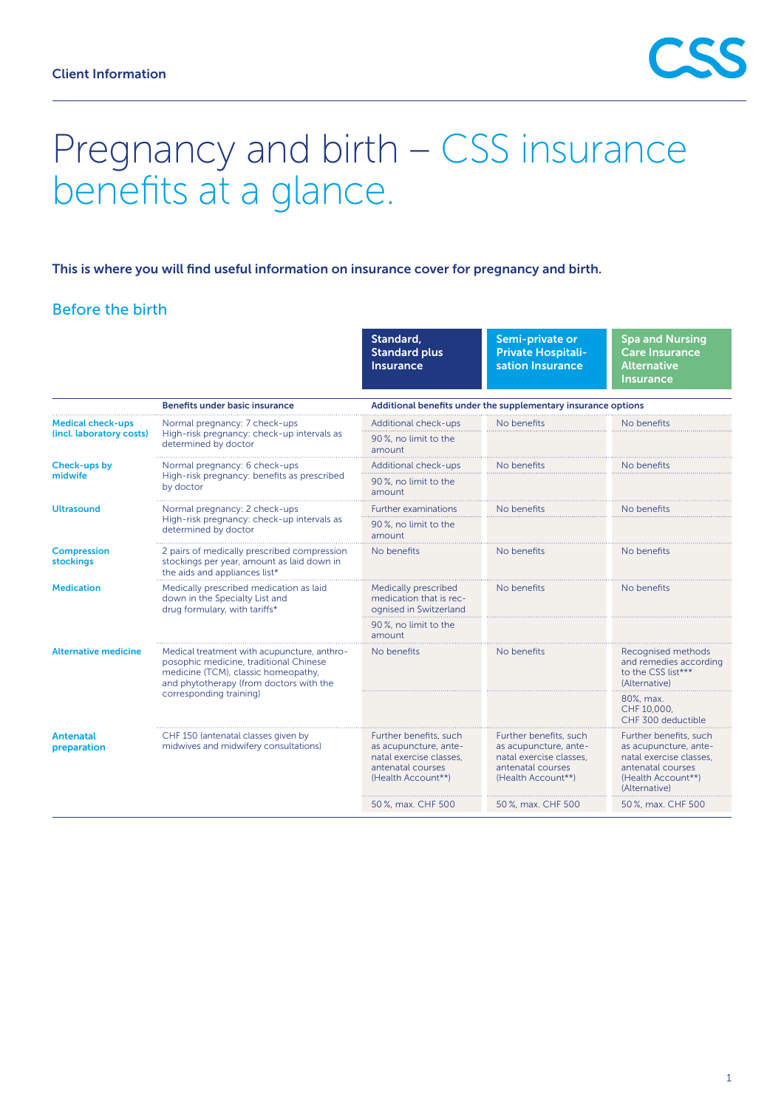

# Pregnancy and birth – CSS insurance benefits at a glance.

#### This is where you will find useful information on insurance cover for pregnancy and birth.

## Before the birth

|                                                      |                                                                                                                                                                                                    | Standard,<br><b>Standard plus</b><br><b>Insurance</b>                                                                 | Semi-private or<br><b>Private Hospitali-</b><br>sation Insurance                                                      | <b>Spa and Nursing</b><br><b>Care Insurance</b><br><b>Alternative</b><br><b>Insurance</b>                                              |  |
|------------------------------------------------------|----------------------------------------------------------------------------------------------------------------------------------------------------------------------------------------------------|-----------------------------------------------------------------------------------------------------------------------|-----------------------------------------------------------------------------------------------------------------------|----------------------------------------------------------------------------------------------------------------------------------------|--|
|                                                      | <b>Benefits under basic insurance</b>                                                                                                                                                              | Additional benefits under the supplementary insurance options                                                         |                                                                                                                       |                                                                                                                                        |  |
| <b>Medical check-ups</b><br>(incl. laboratory costs) | Normal pregnancy: 7 check-ups<br>High-risk pregnancy: check-up intervals as<br>determined by doctor                                                                                                | Additional check-ups                                                                                                  | No benefits                                                                                                           | No benefits                                                                                                                            |  |
|                                                      |                                                                                                                                                                                                    | 90%, no limit to the<br>amount                                                                                        |                                                                                                                       |                                                                                                                                        |  |
| <b>Check-ups by</b><br>midwife                       | Normal pregnancy: 6 check-ups<br>High-risk pregnancy: benefits as prescribed<br>by doctor                                                                                                          | <b>Additional check-ups</b>                                                                                           | No henefits                                                                                                           | No benefits                                                                                                                            |  |
|                                                      |                                                                                                                                                                                                    | 90%, no limit to the<br>amount                                                                                        |                                                                                                                       |                                                                                                                                        |  |
| <b>Ultrasound</b>                                    | Normal pregnancy: 2 check-ups<br>High-risk pregnancy: check-up intervals as<br>determined by doctor                                                                                                | <b>Further examinations</b>                                                                                           | No benefits                                                                                                           | No benefits                                                                                                                            |  |
|                                                      |                                                                                                                                                                                                    | 90%, no limit to the<br>amount                                                                                        |                                                                                                                       |                                                                                                                                        |  |
| <b>Compression</b><br>stockings                      | 2 pairs of medically prescribed compression<br>stockings per year, amount as laid down in<br>the aids and appliances list*                                                                         | No benefits                                                                                                           | No benefits                                                                                                           | No benefits                                                                                                                            |  |
| <b>Medication</b>                                    | Medically prescribed medication as laid<br>down in the Specialty List and<br>drug formulary, with tariffs*                                                                                         | Medically prescribed<br>medication that is rec-<br>ognised in Switzerland                                             | No benefits                                                                                                           | No benefits                                                                                                                            |  |
|                                                      |                                                                                                                                                                                                    | 90%, no limit to the<br>amount                                                                                        |                                                                                                                       |                                                                                                                                        |  |
| <b>Alternative medicine</b>                          | Medical treatment with acupuncture, anthro-<br>posophic medicine, traditional Chinese<br>medicine (TCM), classic homeopathy,<br>and phytotherapy (from doctors with the<br>corresponding training) | No benefits                                                                                                           | No benefits                                                                                                           | <b>Recognised methods</b><br>and remedies according<br>to the CSS list***<br>(Alternative)                                             |  |
|                                                      |                                                                                                                                                                                                    |                                                                                                                       |                                                                                                                       | 80%, max.<br>CHF 10,000,<br>CHF 300 deductible                                                                                         |  |
| <b>Antenatal</b><br>preparation                      | CHF 150 (antenatal classes given by<br>midwives and midwifery consultations)                                                                                                                       | Further benefits, such<br>as acupuncture, ante-<br>natal exercise classes.<br>antenatal courses<br>(Health Account**) | Further benefits, such<br>as acupuncture, ante-<br>natal exercise classes.<br>antenatal courses<br>(Health Account**) | Further benefits, such<br>as acupuncture, ante-<br>natal exercise classes.<br>antenatal courses<br>(Health Account**)<br>(Alternative) |  |
|                                                      |                                                                                                                                                                                                    | 50%, max. CHF 500                                                                                                     | 50%, max. CHF 500                                                                                                     | 50%, max. CHF 500                                                                                                                      |  |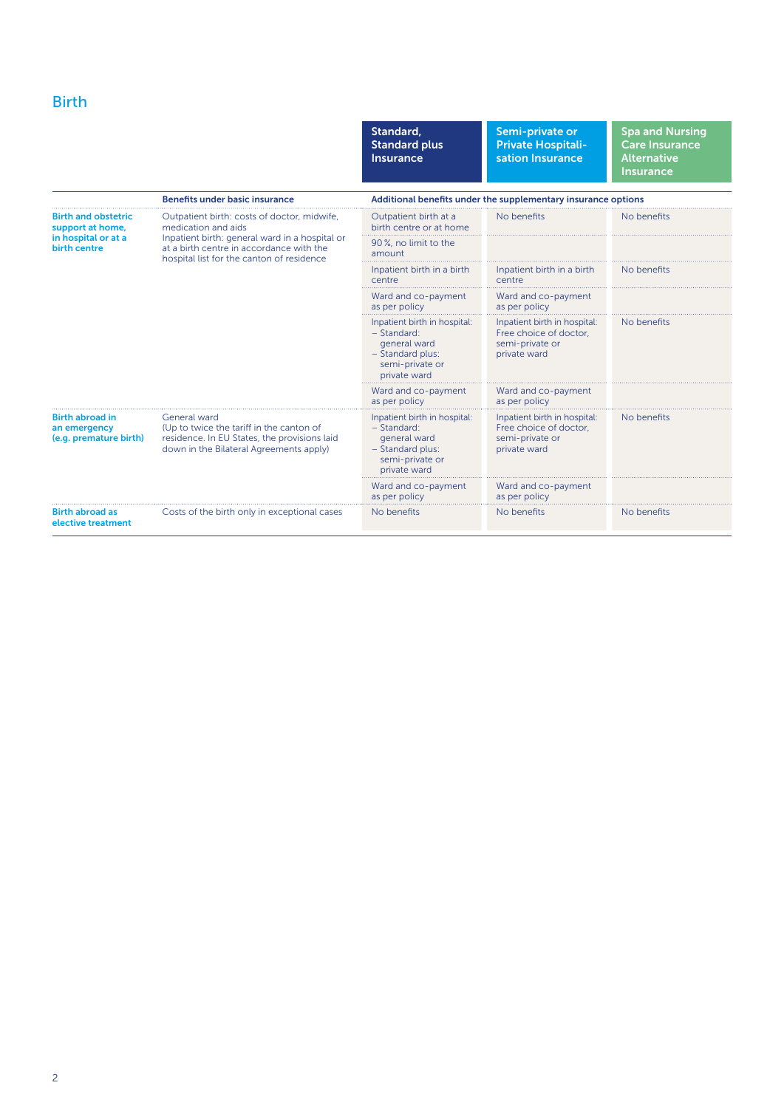# Birth

|                                                                                       |                                                                                                                                                                                                               | Standard,<br><b>Standard plus</b><br>Insurance                                                                       | Semi-private or<br><b>Private Hospitali-</b><br>sation Insurance                          | <b>Spa and Nursing</b><br><b>Care Insurance</b><br><b>Alternative</b><br><b>Insurance</b> |  |
|---------------------------------------------------------------------------------------|---------------------------------------------------------------------------------------------------------------------------------------------------------------------------------------------------------------|----------------------------------------------------------------------------------------------------------------------|-------------------------------------------------------------------------------------------|-------------------------------------------------------------------------------------------|--|
|                                                                                       | <b>Benefits under basic insurance</b>                                                                                                                                                                         | Additional benefits under the supplementary insurance options                                                        |                                                                                           |                                                                                           |  |
| <b>Birth and obstetric</b><br>support at home,<br>in hospital or at a<br>birth centre | Outpatient birth: costs of doctor, midwife,<br>medication and aids<br>Inpatient birth: general ward in a hospital or<br>at a birth centre in accordance with the<br>hospital list for the canton of residence | Outpatient birth at a<br>birth centre or at home                                                                     | No benefits                                                                               | No benefits                                                                               |  |
|                                                                                       |                                                                                                                                                                                                               | 90%, no limit to the<br>amount                                                                                       |                                                                                           |                                                                                           |  |
|                                                                                       |                                                                                                                                                                                                               | Inpatient birth in a birth<br>centre                                                                                 | Inpatient birth in a birth<br>centre                                                      | No benefits                                                                               |  |
|                                                                                       |                                                                                                                                                                                                               | Ward and co-payment<br>as per policy                                                                                 | Ward and co-payment<br>as per policy                                                      |                                                                                           |  |
|                                                                                       |                                                                                                                                                                                                               | Inpatient birth in hospital:<br>$-$ Standard:<br>general ward<br>- Standard plus:<br>semi-private or<br>private ward | Inpatient birth in hospital:<br>Free choice of doctor.<br>semi-private or<br>private ward | No benefits                                                                               |  |
|                                                                                       |                                                                                                                                                                                                               | Ward and co-payment<br>as per policy                                                                                 | Ward and co-payment<br>as per policy                                                      |                                                                                           |  |
| <b>Birth abroad in</b><br>an emergency<br>(e.g. premature birth)                      | General ward<br>(Up to twice the tariff in the canton of<br>residence. In EU States, the provisions laid<br>down in the Bilateral Agreements apply)                                                           | Inpatient birth in hospital:<br>$-$ Standard:<br>general ward<br>- Standard plus:<br>semi-private or<br>private ward | Inpatient birth in hospital:<br>Free choice of doctor.<br>semi-private or<br>private ward | No benefits                                                                               |  |
|                                                                                       |                                                                                                                                                                                                               | Ward and co-payment<br>as per policy                                                                                 | Ward and co-payment<br>as per policy                                                      |                                                                                           |  |
| <b>Birth abroad as</b><br>elective treatment                                          | Costs of the birth only in exceptional cases                                                                                                                                                                  | No benefits                                                                                                          | No benefits                                                                               | No benefits                                                                               |  |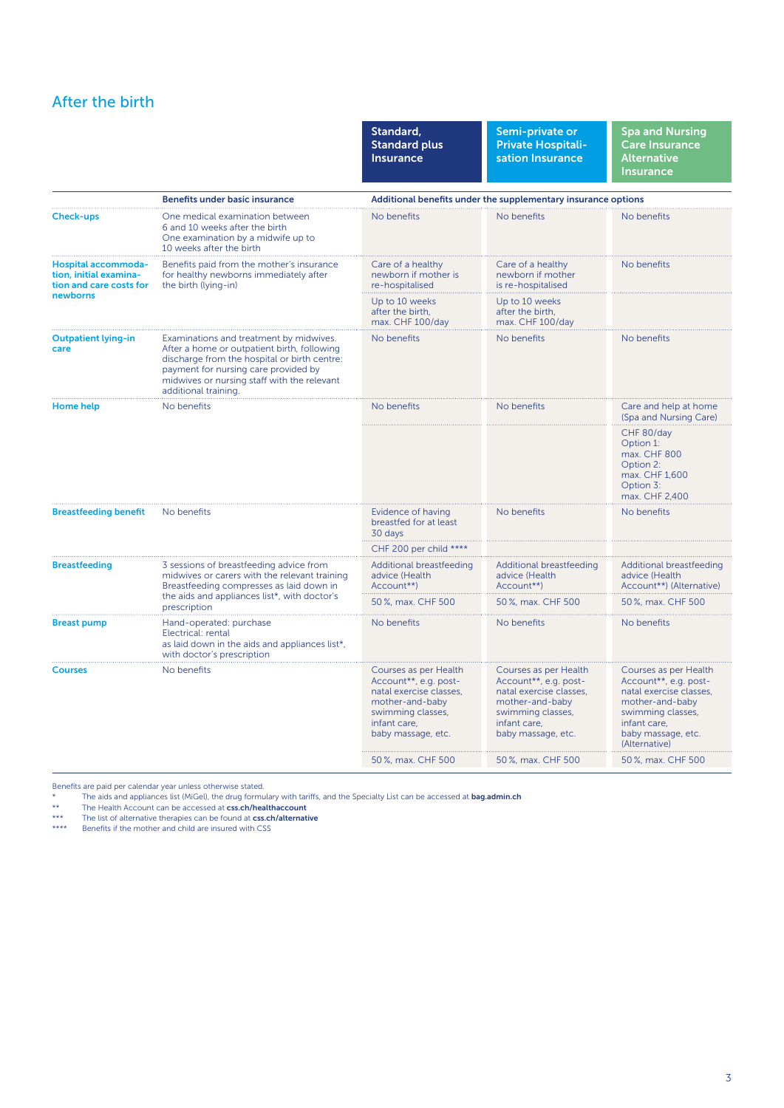## After the birth

|                                                                                      |                                                                                                                                                                                                                                                       | Standard,<br><b>Standard plus</b><br><b>Insurance</b>                                                                                                                         | Semi-private or<br><b>Private Hospitali-</b><br>sation Insurance                                                                                                              | <b>Spa and Nursing</b><br><b>Care Insurance</b><br><b>Alternative</b><br><b>Insurance</b>                                                                                                      |  |
|--------------------------------------------------------------------------------------|-------------------------------------------------------------------------------------------------------------------------------------------------------------------------------------------------------------------------------------------------------|-------------------------------------------------------------------------------------------------------------------------------------------------------------------------------|-------------------------------------------------------------------------------------------------------------------------------------------------------------------------------|------------------------------------------------------------------------------------------------------------------------------------------------------------------------------------------------|--|
|                                                                                      | <b>Benefits under basic insurance</b>                                                                                                                                                                                                                 | Additional benefits under the supplementary insurance options                                                                                                                 |                                                                                                                                                                               |                                                                                                                                                                                                |  |
| <b>Check-ups</b>                                                                     | One medical examination between<br>6 and 10 weeks after the birth<br>One examination by a midwife up to<br>10 weeks after the birth                                                                                                                   | No benefits                                                                                                                                                                   | No benefits                                                                                                                                                                   | No benefits                                                                                                                                                                                    |  |
| Hospital accommoda-<br>tion, initial examina-<br>tion and care costs for<br>newborns | Benefits paid from the mother's insurance<br>for healthy newborns immediately after<br>the birth (lying-in)                                                                                                                                           | Care of a healthy<br>newborn if mother is<br>re-hospitalised                                                                                                                  | Care of a healthy<br>newborn if mother<br>is re-hospitalised                                                                                                                  | No benefits                                                                                                                                                                                    |  |
|                                                                                      |                                                                                                                                                                                                                                                       | Up to 10 weeks<br>after the birth,<br>max. CHF 100/day                                                                                                                        | Up to 10 weeks<br>after the birth,<br>max. CHF 100/day                                                                                                                        |                                                                                                                                                                                                |  |
| <b>Outpatient lying-in</b><br>care                                                   | Examinations and treatment by midwives.<br>After a home or outpatient birth, following<br>discharge from the hospital or birth centre:<br>payment for nursing care provided by<br>midwives or nursing staff with the relevant<br>additional training. | No benefits                                                                                                                                                                   | No benefits                                                                                                                                                                   | No benefits                                                                                                                                                                                    |  |
| Home help                                                                            | No benefits                                                                                                                                                                                                                                           | No benefits                                                                                                                                                                   | No benefits                                                                                                                                                                   | Care and help at home<br>(Spa and Nursing Care)                                                                                                                                                |  |
|                                                                                      |                                                                                                                                                                                                                                                       |                                                                                                                                                                               |                                                                                                                                                                               | CHF 80/day<br>Option 1:<br>max. CHF 800<br>Option 2:<br>max. CHF 1,600<br>Option 3:<br>max. CHF 2,400                                                                                          |  |
| <b>Breastfeeding benefit</b>                                                         | No benefits                                                                                                                                                                                                                                           | Evidence of having<br>breastfed for at least<br>30 days                                                                                                                       | No benefits                                                                                                                                                                   | No benefits                                                                                                                                                                                    |  |
|                                                                                      |                                                                                                                                                                                                                                                       | CHF 200 per child ****                                                                                                                                                        |                                                                                                                                                                               |                                                                                                                                                                                                |  |
| <b>Breastfeeding</b>                                                                 | 3 sessions of breastfeeding advice from<br>midwives or carers with the relevant training<br>Breastfeeding compresses as laid down in<br>the aids and appliances list*, with doctor's<br>prescription                                                  | Additional breastfeeding<br>advice (Health<br>Account**)                                                                                                                      | Additional breastfeeding<br>advice (Health<br>Account**)                                                                                                                      | Additional breastfeeding<br>advice (Health<br>Account**) (Alternative)                                                                                                                         |  |
|                                                                                      |                                                                                                                                                                                                                                                       | 50%, max. CHF 500                                                                                                                                                             | 50%, max. CHF 500                                                                                                                                                             | 50%, max. CHF 500                                                                                                                                                                              |  |
| <b>Breast pump</b>                                                                   | Hand-operated: purchase<br>Electrical: rental<br>as laid down in the aids and appliances list*,<br>with doctor's prescription                                                                                                                         | No benefits                                                                                                                                                                   | No benefits                                                                                                                                                                   | No benefits                                                                                                                                                                                    |  |
| <b>Courses</b>                                                                       | No benefits                                                                                                                                                                                                                                           | Courses as per Health<br>Account**, e.g. post-<br>natal exercise classes,<br>mother-and-baby<br>swimming classes,<br>infant care,<br>baby massage, etc.<br>50 %, max. CHF 500 | Courses as per Health<br>Account**, e.g. post-<br>natal exercise classes,<br>mother-and-baby<br>swimming classes,<br>infant care,<br>baby massage, etc.<br>50 %, max. CHF 500 | Courses as per Health<br>Account**, e.g. post-<br>natal exercise classes,<br>mother-and-baby<br>swimming classes,<br>infant care,<br>baby massage, etc.<br>(Alternative)<br>50 %, max. CHF 500 |  |
|                                                                                      |                                                                                                                                                                                                                                                       |                                                                                                                                                                               |                                                                                                                                                                               |                                                                                                                                                                                                |  |

Benefits are paid per calendar year unless otherwise stated.<br>
The aids and appliances list (MiGel), the drug formu<br>

The Health Account can be accessed at css ch/hea

The aids and appliances list (MiGel), the drug formulary with tariffs, and the Specialty List can be accessed at **[bag.admin.ch](http://www.bag.admin.ch)**<br>\*\* The Health Account can be accessed at **[css.ch/healthaccount](http://www.css.ch/healthaccount)**<br>\*\*\* Th